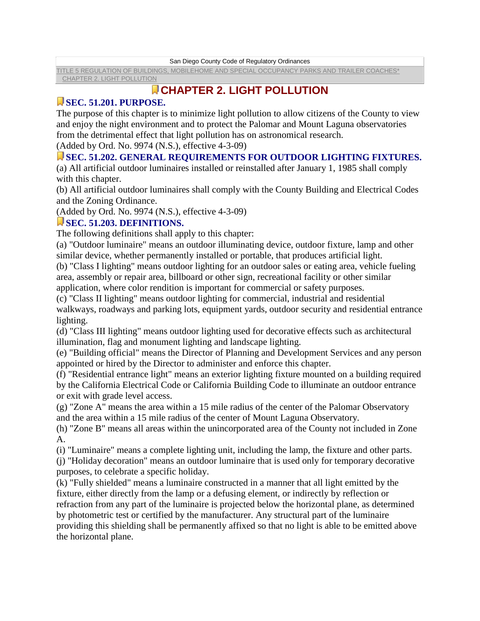San Diego County Code of Regulatory Ordinances

[TITLE 5 REGULATION OF BUILDINGS, MOBILEHOME AND SPECIAL OCCUPANCY PARKS AND TRAILER COACHES\\*](http://www.amlegal.com/nxt/gateway.dll?f=id$id=0-0-0-76727$t=document-frame.htm$3.0$p=) [CHAPTER 2. LIGHT POLLUTION](http://www.amlegal.com/nxt/gateway.dll?f=id$id=0-0-0-76851$t=document-frame.htm$3.0$p=) 

# **CHAPTER 2. LIGHT POLLUTION**

## **SEC. 51.201. PURPOSE.**

The purpose of this chapter is to minimize light pollution to allow citizens of the County to view and enjoy the night environment and to protect the Palomar and Mount Laguna observatories from the detrimental effect that light pollution has on astronomical research.

(Added by Ord. No. 9974 (N.S.), effective 4-3-09)

### **SEC. 51.202. GENERAL REQUIREMENTS FOR OUTDOOR LIGHTING FIXTURES.**

(a) All artificial outdoor luminaires installed or reinstalled after January 1, 1985 shall comply with this chapter.

(b) All artificial outdoor luminaires shall comply with the County Building and Electrical Codes and the Zoning Ordinance.

(Added by Ord. No. 9974 (N.S.), effective 4-3-09)

#### **SEC. 51.203. DEFINITIONS.**

The following definitions shall apply to this chapter:

(a) "Outdoor luminaire" means an outdoor illuminating device, outdoor fixture, lamp and other similar device, whether permanently installed or portable, that produces artificial light.

(b) "Class I lighting" means outdoor lighting for an outdoor sales or eating area, vehicle fueling area, assembly or repair area, billboard or other sign, recreational facility or other similar application, where color rendition is important for commercial or safety purposes.

(c) "Class II lighting" means outdoor lighting for commercial, industrial and residential

walkways, roadways and parking lots, equipment yards, outdoor security and residential entrance lighting.

(d) "Class III lighting" means outdoor lighting used for decorative effects such as architectural illumination, flag and monument lighting and landscape lighting.

(e) "Building official" means the Director of Planning and Development Services and any person appointed or hired by the Director to administer and enforce this chapter.

(f) "Residential entrance light" means an exterior lighting fixture mounted on a building required by the California Electrical Code or California Building Code to illuminate an outdoor entrance or exit with grade level access.

(g) "Zone A" means the area within a 15 mile radius of the center of the Palomar Observatory and the area within a 15 mile radius of the center of Mount Laguna Observatory.

(h) "Zone B" means all areas within the unincorporated area of the County not included in Zone A.

(i) "Luminaire" means a complete lighting unit, including the lamp, the fixture and other parts.

(j) "Holiday decoration" means an outdoor luminaire that is used only for temporary decorative purposes, to celebrate a specific holiday.

(k) "Fully shielded" means a luminaire constructed in a manner that all light emitted by the fixture, either directly from the lamp or a defusing element, or indirectly by reflection or refraction from any part of the luminaire is projected below the horizontal plane, as determined by photometric test or certified by the manufacturer. Any structural part of the luminaire providing this shielding shall be permanently affixed so that no light is able to be emitted above the horizontal plane.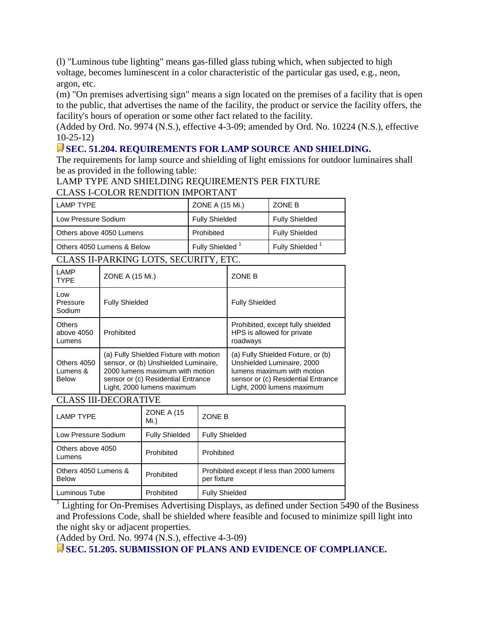(l) "Luminous tube lighting" means gas-filled glass tubing which, when subjected to high voltage, becomes luminescent in a color characteristic of the particular gas used, e.g., neon, argon, etc.

(m) "On premises advertising sign" means a sign located on the premises of a facility that is open to the public, that advertises the name of the facility, the product or service the facility offers, the facility's hours of operation or some other fact related to the facility.

(Added by Ord. No. 9974 (N.S.), effective 4-3-09; amended by Ord. No. 10224 (N.S.), effective 10-25-12)

### **SEC. 51.204. REQUIREMENTS FOR LAMP SOURCE AND SHIELDING.**

The requirements for lamp source and shielding of light emissions for outdoor luminaires shall be as provided in the following table:

#### LAMP TYPE AND SHIELDING REQUIREMENTS PER FIXTURE CLASS I-COLOR RENDITION IMPORTANT

| LAMP TYPE                                                                                                          | ZONE A (15 Mi.)             | ZONE B                      |  |
|--------------------------------------------------------------------------------------------------------------------|-----------------------------|-----------------------------|--|
| Low Pressure Sodium                                                                                                | <b>Fully Shielded</b>       | <b>Fully Shielded</b>       |  |
| Others above 4050 Lumens                                                                                           | Prohibited                  | <b>Fully Shielded</b>       |  |
| Others 4050 Lumens & Below                                                                                         | Fully Shielded <sup>1</sup> | Fully Shielded <sup>1</sup> |  |
| $\alpha$ and it bable in $\alpha$ is $\alpha$ and $\alpha$<br>$C_{\rm E}$ $C_{\rm I}$ in $\rm I\!T\!N$ $C_{\rm I}$ |                             |                             |  |

#### CLASS II-PARKING LOTS, SECURITY, ETC.

| <b>LAMP</b><br><b>TYPE</b>              | ZONE A (15 Mi.)                                                                                                                                                                       | <b>ZONE B</b>                                                                                                                                                      |
|-----------------------------------------|---------------------------------------------------------------------------------------------------------------------------------------------------------------------------------------|--------------------------------------------------------------------------------------------------------------------------------------------------------------------|
| Low<br>Pressure<br>Sodium               | <b>Fully Shielded</b>                                                                                                                                                                 | <b>Fully Shielded</b>                                                                                                                                              |
| Others<br>above 4050<br>Lumens          | Prohibited                                                                                                                                                                            | Prohibited, except fully shielded<br>HPS is allowed for private<br>roadways                                                                                        |
| Others 4050<br>Lumens &<br><b>Below</b> | (a) Fully Shielded Fixture with motion<br>sensor, or (b) Unshielded Luminaire,<br>2000 lumens maximum with motion<br>sensor or (c) Residential Entrance<br>Light, 2000 lumens maximum | (a) Fully Shielded Fixture, or (b)<br>Unshielded Luminaire, 2000<br>lumens maximum with motion<br>sensor or (c) Residential Entrance<br>Light, 2000 lumens maximum |

CLASS III-DECORATIVE

| <b>LAMP TYPE</b>                     | <b>ZONE A (15)</b><br>$Mi.$ ) | ZONE B                                                    |
|--------------------------------------|-------------------------------|-----------------------------------------------------------|
| Low Pressure Sodium                  | <b>Fully Shielded</b>         | <b>Fully Shielded</b>                                     |
| Others above 4050<br>Lumens          | Prohibited                    | Prohibited                                                |
| Others 4050 Lumens &<br><b>Below</b> | Prohibited                    | Prohibited except if less than 2000 lumens<br>per fixture |
| Luminous Tube                        | Prohibited                    | <b>Fully Shielded</b>                                     |

<sup>1</sup> Lighting for On-Premises Advertising Displays, as defined under Section 5490 of the Business and Professions Code, shall be shielded where feasible and focused to minimize spill light into the night sky or adjacent properties.

(Added by Ord. No. 9974 (N.S.), effective 4-3-09)

**SEC. 51.205. SUBMISSION OF PLANS AND EVIDENCE OF COMPLIANCE.**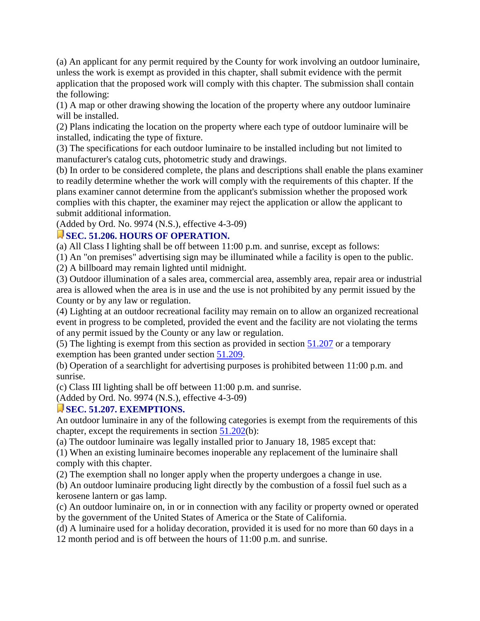(a) An applicant for any permit required by the County for work involving an outdoor luminaire, unless the work is exempt as provided in this chapter, shall submit evidence with the permit application that the proposed work will comply with this chapter. The submission shall contain the following:

(1) A map or other drawing showing the location of the property where any outdoor luminaire will be installed.

(2) Plans indicating the location on the property where each type of outdoor luminaire will be installed, indicating the type of fixture.

(3) The specifications for each outdoor luminaire to be installed including but not limited to manufacturer's catalog cuts, photometric study and drawings.

(b) In order to be considered complete, the plans and descriptions shall enable the plans examiner to readily determine whether the work will comply with the requirements of this chapter. If the plans examiner cannot determine from the applicant's submission whether the proposed work complies with this chapter, the examiner may reject the application or allow the applicant to submit additional information.

(Added by Ord. No. 9974 (N.S.), effective 4-3-09)

#### **SEC. 51.206. HOURS OF OPERATION.**

(a) All Class I lighting shall be off between 11:00 p.m. and sunrise, except as follows:

(1) An "on premises" advertising sign may be illuminated while a facility is open to the public.

(2) A billboard may remain lighted until midnight.

(3) Outdoor illumination of a sales area, commercial area, assembly area, repair area or industrial area is allowed when the area is in use and the use is not prohibited by any permit issued by the County or by any law or regulation.

(4) Lighting at an outdoor recreational facility may remain on to allow an organized recreational event in progress to be completed, provided the event and the facility are not violating the terms of any permit issued by the County or any law or regulation.

(5) The lighting is exempt from this section as provided in section [51.207](http://www.amlegal.com/nxt/gateway.dll?f=jumplink$jumplink_x=Advanced$jumplink_vpc=first$jumplink_xsl=querylink.xsl$jumplink_sel=title;path;content-type;home-title;item-bookmark$jumplink_d=california(sandregs)$jumplink_q=%5bfield%20folio-destination-name:) or a temporary exemption has been granted under section [51.209.](http://www.amlegal.com/nxt/gateway.dll?f=jumplink$jumplink_x=Advanced$jumplink_vpc=first$jumplink_xsl=querylink.xsl$jumplink_sel=title;path;content-type;home-title;item-bookmark$jumplink_d=california(sandregs)$jumplink_q=%5bfield%20folio-destination-name:)

(b) Operation of a searchlight for advertising purposes is prohibited between 11:00 p.m. and sunrise.

(c) Class III lighting shall be off between 11:00 p.m. and sunrise.

(Added by Ord. No. 9974 (N.S.), effective 4-3-09)

## **SEC. 51.207. EXEMPTIONS.**

An outdoor luminaire in any of the following categories is exempt from the requirements of this chapter, except the requirements in section [51.202\(](http://www.amlegal.com/nxt/gateway.dll?f=jumplink$jumplink_x=Advanced$jumplink_vpc=first$jumplink_xsl=querylink.xsl$jumplink_sel=title;path;content-type;home-title;item-bookmark$jumplink_d=california(sandregs)$jumplink_q=%5bfield%20folio-destination-name:)b):

(a) The outdoor luminaire was legally installed prior to January 18, 1985 except that:

(1) When an existing luminaire becomes inoperable any replacement of the luminaire shall comply with this chapter.

(2) The exemption shall no longer apply when the property undergoes a change in use.

(b) An outdoor luminaire producing light directly by the combustion of a fossil fuel such as a kerosene lantern or gas lamp.

(c) An outdoor luminaire on, in or in connection with any facility or property owned or operated by the government of the United States of America or the State of California.

(d) A luminaire used for a holiday decoration, provided it is used for no more than 60 days in a

12 month period and is off between the hours of 11:00 p.m. and sunrise.